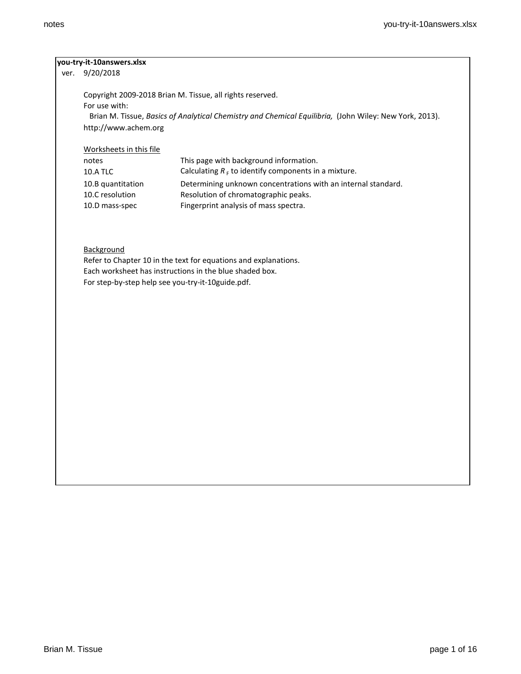# **you-try-it-10answers.xlsx**

ver. 9/20/2018

Copyright 2009-2018 Brian M. Tissue, all rights reserved. For use with: Brian M. Tissue, *Basics of Analytical Chemistry and Chemical Equilibria,* (John Wiley: New York, 2013). http://www.achem.org

### Worksheets in this file

| notes             | This page with background information.                        |
|-------------------|---------------------------------------------------------------|
| <b>10.A TLC</b>   | Calculating $R_F$ to identify components in a mixture.        |
| 10.B quantitation | Determining unknown concentrations with an internal standard. |
| 10.C resolution   | Resolution of chromatographic peaks.                          |
| 10.D mass-spec    | Fingerprint analysis of mass spectra.                         |

# **Background**

Refer to Chapter 10 in the text for equations and explanations. Each worksheet has instructions in the blue shaded box. For step-by-step help see you-try-it-10guide.pdf.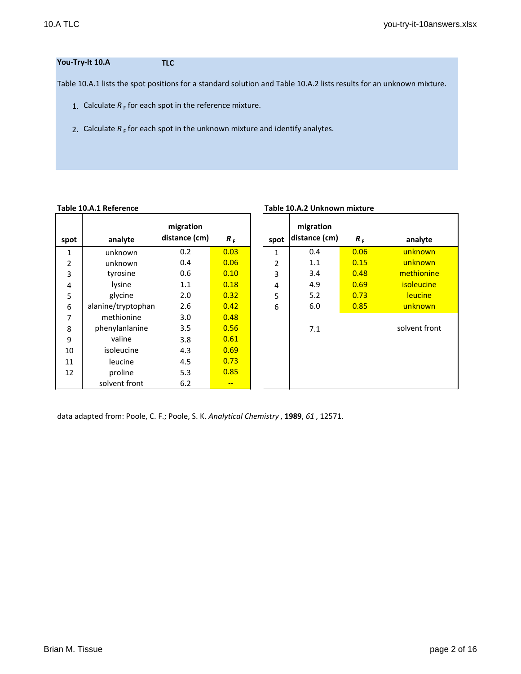# **You-Try-It 10.A TLC**

Table 10.A.1 lists the spot positions for a standard solution and Table 10.A.2 lists results for an unknown mixture.

- 1. Calculate  $R_F$  for each spot in the reference mixture.
- 2. Calculate  $R_F$  for each spot in the unknown mixture and identify analytes.

### **Table 10.A.1 Reference Table 10.A.2 Unknown mixture**

|      |                    | migration     |       |      | migration     |       |                   |
|------|--------------------|---------------|-------|------|---------------|-------|-------------------|
| spot | analyte            | distance (cm) | $R_F$ | spot | distance (cm) | $R_F$ | analyte           |
| 1    | unknown            | 0.2           | 0.03  | 1    | 0.4           | 0.06  | unknown           |
| 2    | unknown            | 0.4           | 0.06  | 2    | 1.1           | 0.15  | unknown           |
| 3    | tyrosine           | 0.6           | 0.10  | 3    | 3.4           | 0.48  | methionine        |
| 4    | lysine             | 1.1           | 0.18  | 4    | 4.9           | 0.69  | <i>isoleucine</i> |
| 5    | glycine            | 2.0           | 0.32  | 5    | 5.2           | 0.73  | leucine           |
| 6    | alanine/tryptophan | 2.6           | 0.42  | 6    | 6.0           | 0.85  | unknown           |
| 7    | methionine         | 3.0           | 0.48  |      |               |       |                   |
| 8    | phenylanlanine     | 3.5           | 0.56  |      | 7.1           |       | solvent front     |
| 9    | valine             | 3.8           | 0.61  |      |               |       |                   |
| 10   | isoleucine         | 4.3           | 0.69  |      |               |       |                   |
| 11   | leucine            | 4.5           | 0.73  |      |               |       |                   |
| 12   | proline            | 5.3           | 0.85  |      |               |       |                   |
|      | solvent front      | 6.2           | $- -$ |      |               |       |                   |

| spot           | migration<br>distance (cm) | $R_{F}$ | analyte           |
|----------------|----------------------------|---------|-------------------|
| $\mathbf{1}$   | 0.4                        | 0.06    | unknown           |
| $\overline{2}$ | 1.1                        | 0.15    | unknown           |
| 3              | 3.4                        | 0.48    | methionine        |
| 4              | 4.9                        | 0.69    | <i>isoleucine</i> |
| 5              | 5.2                        | 0.73    | leucine           |
| 6              | 6.0                        | 0.85    | unknown           |
|                | 7.1                        |         | solvent front     |
|                |                            |         |                   |
|                |                            |         |                   |
|                |                            |         |                   |
|                |                            |         |                   |

# data adapted from: Poole, C. F.; Poole, S. K. *Analytical Chemistry* , **1989**, *61* , 12571.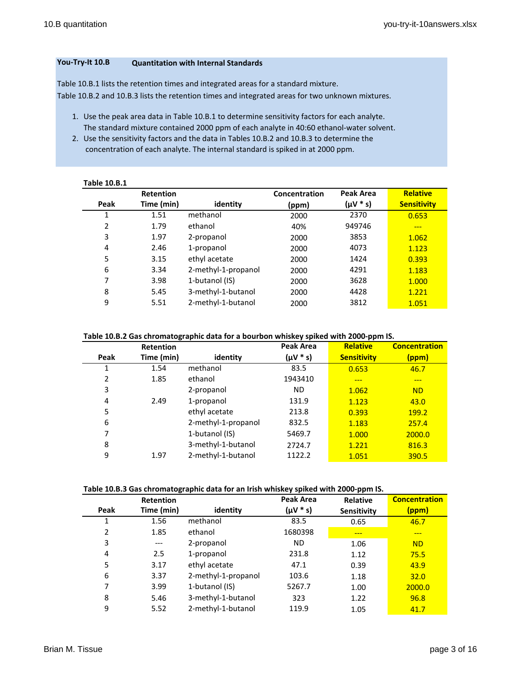## **You-Try-It 10.B Quantitation with Internal Standards**

Table 10.B.1 lists the retention times and integrated areas for a standard mixture. Table 10.B.2 and 10.B.3 lists the retention times and integrated areas for two unknown mixtures.

- 1. Use the peak area data in Table 10.B.1 to determine sensitivity factors for each analyte. The standard mixture contained 2000 ppm of each analyte in 40:60 ethanol-water solvent.
- 2. Use the sensitivity factors and the data in Tables 10.B.2 and 10.B.3 to determine the concentration of each analyte. The internal standard is spiked in at 2000 ppm.

| <b>Retention</b> |                     | Concentration | Peak Area     | <b>Relative</b>    |
|------------------|---------------------|---------------|---------------|--------------------|
| Time (min)       | identity            | (ppm)         | $(\mu V * s)$ | <b>Sensitivity</b> |
| 1.51             | methanol            | 2000          | 2370          | 0.653              |
| 1.79             | ethanol             | 40%           | 949746        |                    |
| 1.97             | 2-propanol          | 2000          | 3853          | 1.062              |
| 2.46             | 1-propanol          | 2000          | 4073          | 1.123              |
| 3.15             | ethyl acetate       | 2000          | 1424          | 0.393              |
| 3.34             | 2-methyl-1-propanol | 2000          | 4291          | 1.183              |
| 3.98             | 1-butanol (IS)      | 2000          | 3628          | 1.000              |
| 5.45             | 3-methyl-1-butanol  | 2000          | 4428          | 1.221              |
| 5.51             | 2-methyl-1-butanol  | 2000          | 3812          | 1.051              |
|                  |                     |               |               |                    |

## **Table 10.B.2 Gas chromatographic data for a bourbon whiskey spiked with 2000-ppm IS.**

|      | <b>Retention</b> |                     | Peak Area | <b>Relative</b>    | <b>Concentration</b> |
|------|------------------|---------------------|-----------|--------------------|----------------------|
| Peak | Time (min)       | identity            | (µV * s)  | <b>Sensitivity</b> | (ppm)                |
| 1    | 1.54             | methanol            | 83.5      | 0.653              | 46.7                 |
| 2    | 1.85             | ethanol             | 1943410   | ---                | ---                  |
| 3    |                  | 2-propanol          | <b>ND</b> | 1.062              | <b>ND</b>            |
| 4    | 2.49             | 1-propanol          | 131.9     | 1.123              | 43.0                 |
| 5    |                  | ethyl acetate       | 213.8     | 0.393              | 199.2                |
| 6    |                  | 2-methyl-1-propanol | 832.5     | 1.183              | 257.4                |
| 7    |                  | 1-butanol (IS)      | 5469.7    | 1.000              | 2000.0               |
| 8    |                  | 3-methyl-1-butanol  | 2724.7    | 1.221              | 816.3                |
| 9    | 1.97             | 2-methyl-1-butanol  | 1122.2    | 1.051              | 390.5                |

### **Table 10.B.3 Gas chromatographic data for an Irish whiskey spiked with 2000-ppm IS.**

|      | <b>Retention</b> |                     | <b>Peak Area</b> | <b>Relative</b> | <b>Concentration</b> |
|------|------------------|---------------------|------------------|-----------------|----------------------|
| Peak | Time (min)       | identity            | $(\mu V * s)$    | Sensitivity     | (ppm)                |
| 1    | 1.56             | methanol            | 83.5             | 0.65            | 46.7                 |
| 2    | 1.85             | ethanol             | 1680398          | ---             | ---                  |
| 3    | $---$            | 2-propanol          | ΝD               | 1.06            | <b>ND</b>            |
| 4    | 2.5              | 1-propanol          | 231.8            | 1.12            | 75.5                 |
| 5    | 3.17             | ethyl acetate       | 47.1             | 0.39            | 43.9                 |
| 6    | 3.37             | 2-methyl-1-propanol | 103.6            | 1.18            | 32.0                 |
| 7    | 3.99             | 1-butanol (IS)      | 5267.7           | 1.00            | 2000.0               |
| 8    | 5.46             | 3-methyl-1-butanol  | 323              | 1.22            | 96.8                 |
| 9    | 5.52             | 2-methyl-1-butanol  | 119.9            | 1.05            | 41.7                 |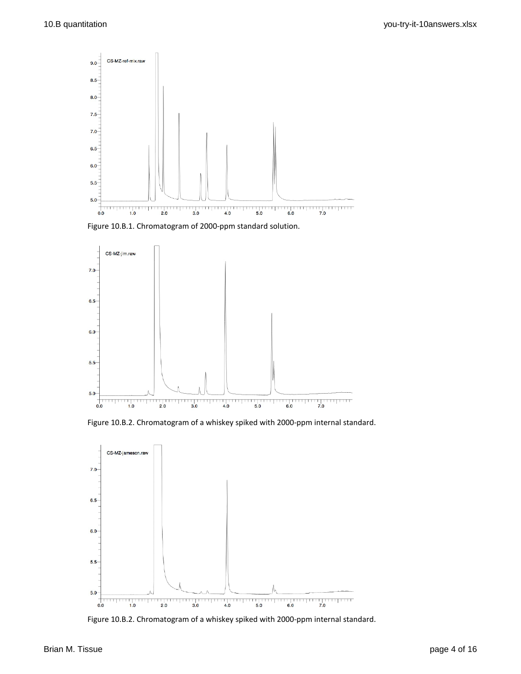

Figure 10.B.1. Chromatogram of 2000-ppm standard solution.



Figure 10.B.2. Chromatogram of a whiskey spiked with 2000-ppm internal standard.



Figure 10.B.2. Chromatogram of a whiskey spiked with 2000-ppm internal standard.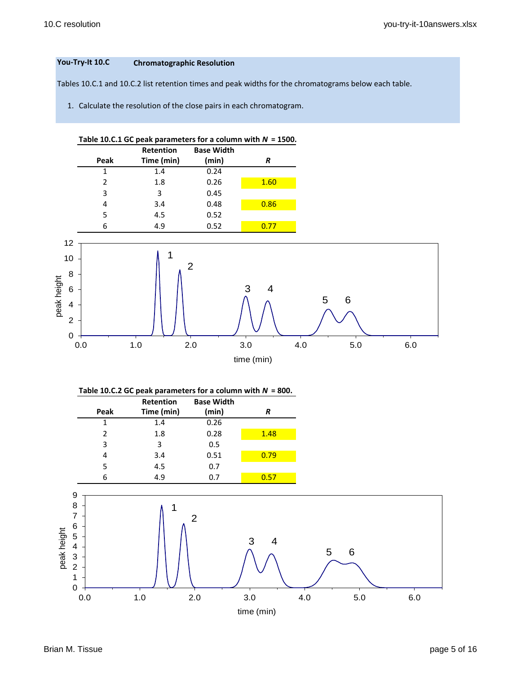# **You-Try-It 10.C Chromatographic Resolution**

Tables 10.C.1 and 10.C.2 list retention times and peak widths for the chromatograms below each table.

1. Calculate the resolution of the close pairs in each chromatogram.



| Table 10.C.2 GC peak parameters for a column with $N = 800$ . |  |  |  |
|---------------------------------------------------------------|--|--|--|
|---------------------------------------------------------------|--|--|--|

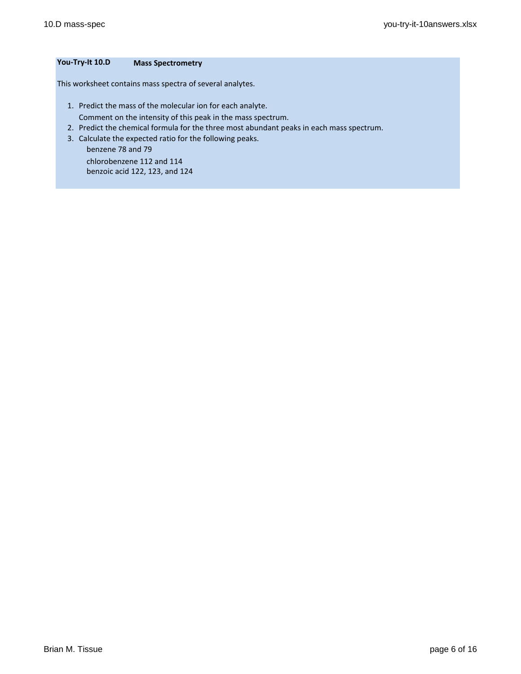# **You-Try-It 10.D Mass Spectrometry**

This worksheet contains mass spectra of several analytes.

- 1. Predict the mass of the molecular ion for each analyte.
	- Comment on the intensity of this peak in the mass spectrum.
- 2. Predict the chemical formula for the three most abundant peaks in each mass spectrum.
- 3. Calculate the expected ratio for the following peaks.

 benzene 78 and 79 chlorobenzene 112 and 114 benzoic acid 122, 123, and 124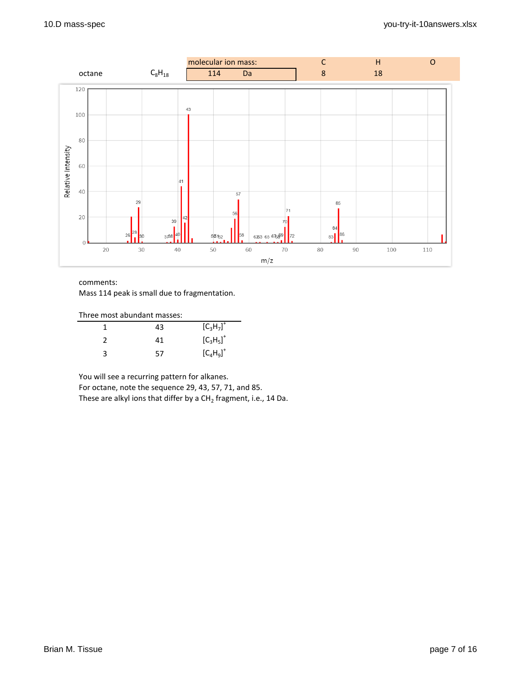

Mass 114 peak is small due to fragmentation.

| Three most abundant masses: |    |              |
|-----------------------------|----|--------------|
|                             | 43 | $[C_3H_7]^+$ |
|                             | 41 | $[C_3H_5]^+$ |
|                             | 57 | $[C_4H_9]^+$ |

You will see a recurring pattern for alkanes.

For octane, note the sequence 29, 43, 57, 71, and 85.

These are alkyl ions that differ by a CH<sub>2</sub> fragment, i.e., 14 Da.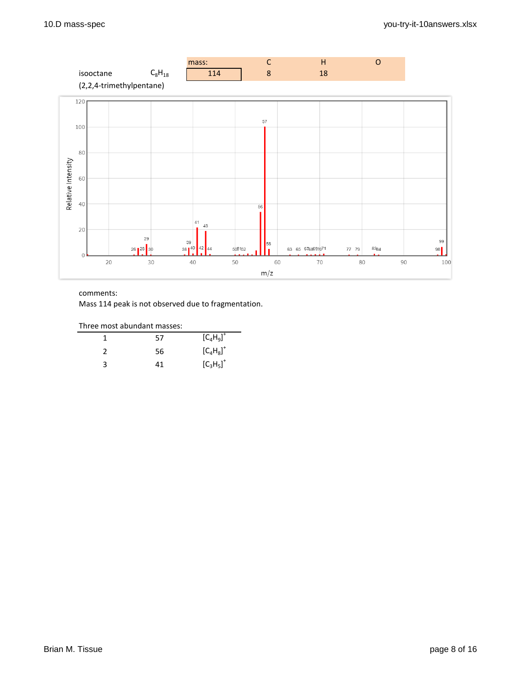

Mass 114 peak is not observed due to fragmentation.

|   | 57 | $[C_4H_9]^+$ |
|---|----|--------------|
|   | 56 | $[C_4H_8]^+$ |
| ੨ | 41 | $[C_3H_5]^+$ |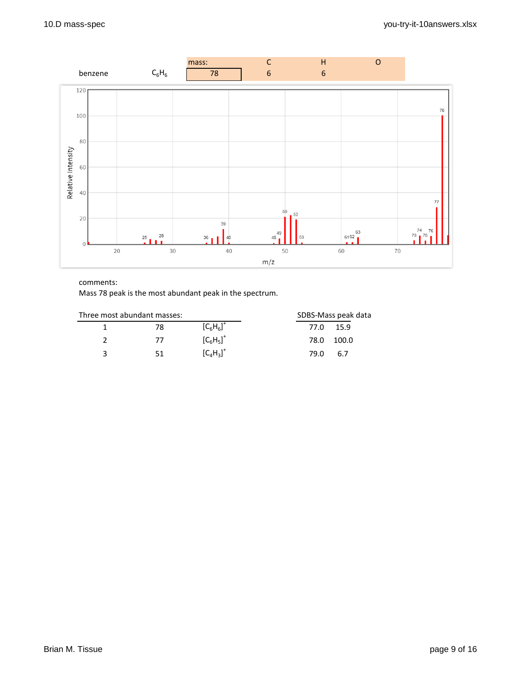

Mass 78 peak is the most abundant peak in the spectrum.

| Three most abundant masses: |    |                                  | SDBS-Mass peak data |
|-----------------------------|----|----------------------------------|---------------------|
|                             | 78 | $[C_6H_6]^+$                     | 15.9<br>77.O        |
|                             | 77 | $[C_6H_5]^+$                     | 100.0<br>78.0       |
| ્ર                          | 51 | ${[\mathsf{C}_4\mathsf{H}_3]}^+$ | 79 N<br>6.7         |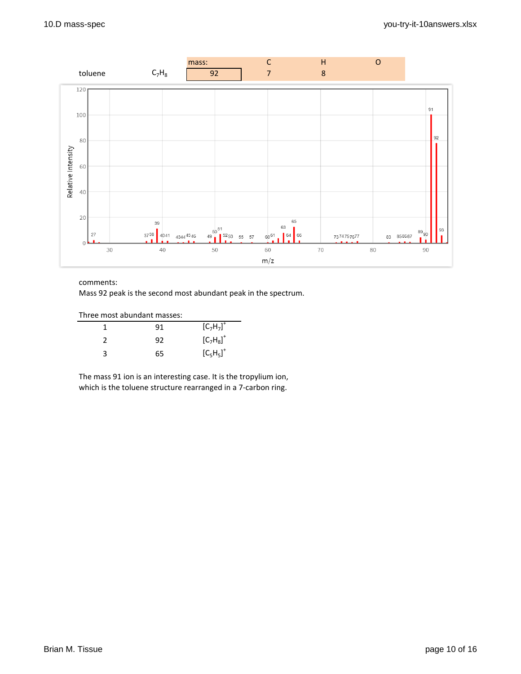

Mass 92 peak is the second most abundant peak in the spectrum.

| Three most abundant masses: |    |              |
|-----------------------------|----|--------------|
|                             | 91 | $[C_7H_7]^+$ |
|                             | 92 | $[C_7H_8]^+$ |
| 2                           | 65 | $[C_5H_5]^+$ |

The mass 91 ion is an interesting case. It is the tropylium ion, which is the toluene structure rearranged in a 7-carbon ring.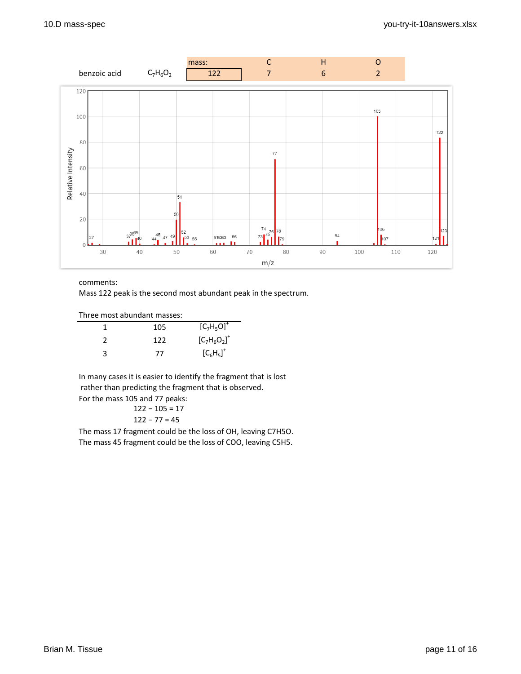

Mass 122 peak is the second most abundant peak in the spectrum.

Three most abundant masses:

|               | 105 | $[C_7H_5O]^+$   |
|---------------|-----|-----------------|
| $\mathcal{L}$ | 122 | $[C_7H_6O_2]^+$ |
| з             | 77  | $[C_6H_5]^+$    |

In many cases it is easier to identify the fragment that is lost rather than predicting the fragment that is observed. For the mass 105 and 77 peaks:

122 − 105 = 17 122 − 77 = 45

The mass 17 fragment could be the loss of OH, leaving C7H5O. The mass 45 fragment could be the loss of COO, leaving C5H5.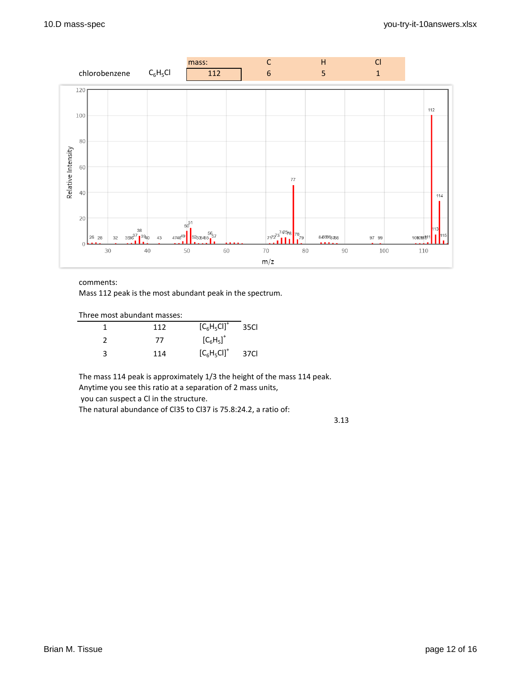

Mass 112 peak is the most abundant peak in the spectrum.

| Three most abundant masses: |                |       |
|-----------------------------|----------------|-------|
| 112                         | $[C_6H_5Cl]^+$ | 35Cl  |
| 77                          | $[C_6H_5]^+$   |       |
| 114                         | $[C_6H_5Cl]^+$ | -37Cl |

The mass 114 peak is approximately 1/3 the height of the mass 114 peak. Anytime you see this ratio at a separation of 2 mass units, you can suspect a Cl in the structure.

The natural abundance of Cl35 to Cl37 is 75.8:24.2, a ratio of:

3.13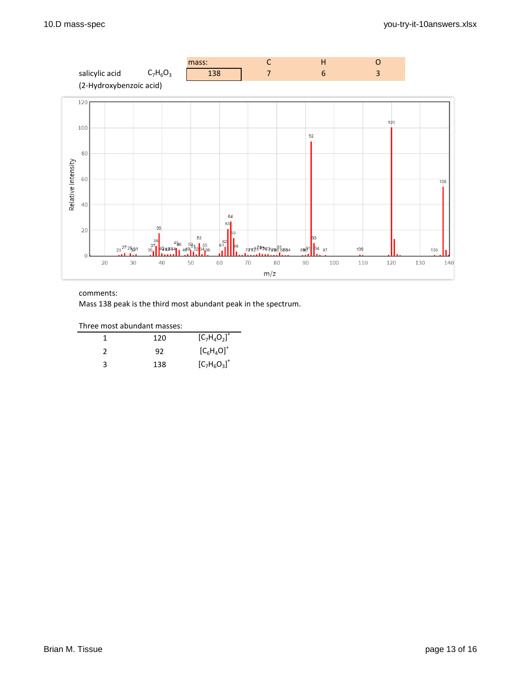

Mass 138 peak is the third most abundant peak in the spectrum.

Three most abundant masses:

|   | 120 | $[C_7H_4O_2]^+$ |
|---|-----|-----------------|
|   | 92  | $[C_6H_4O]^+$   |
| R | 138 | $[C_7H_6O_3]^+$ |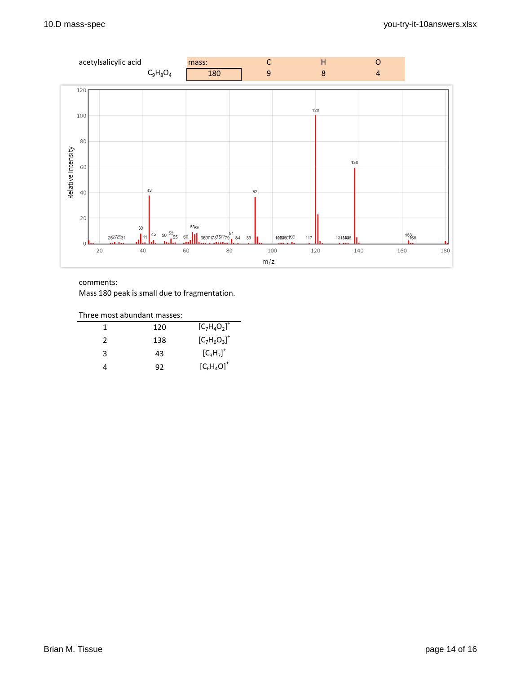

Mass 180 peak is small due to fragmentation.

| Three most abundant masses: |     |                 |  |
|-----------------------------|-----|-----------------|--|
|                             | 120 | $[C_7H_4O_2]^+$ |  |
| 2                           | 138 | $[C_7H_6O_3]^+$ |  |
| ર                           | 43  | $[C_3H_7]^+$    |  |
|                             | 92  | $[C_6H_4O]^+$   |  |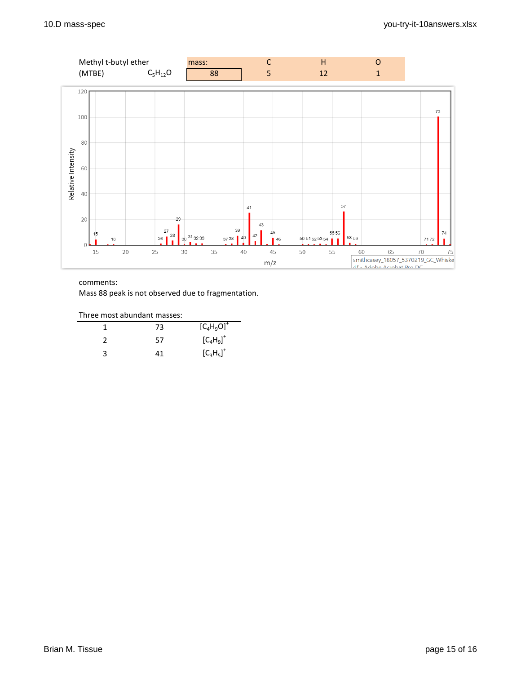

Mass 88 peak is not observed due to fragmentation.

| Three most abundant masses: |  |
|-----------------------------|--|
|                             |  |

|   | 73 | $[C_4H_9O]^+$ |
|---|----|---------------|
|   | 57 | $[C_4H_9]^+$  |
| ੨ | 41 | $[C_3H_5]^+$  |